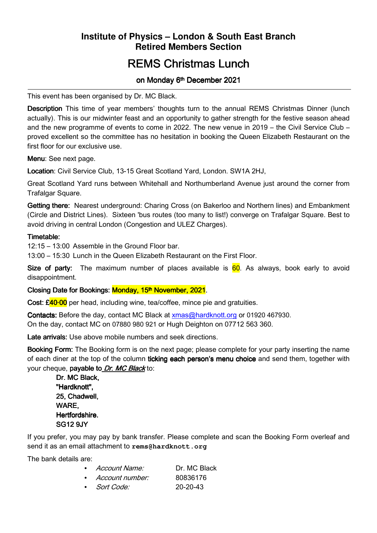## **Institute of Physics – London & South East Branch Retired Members Section**

# **REMS Christmas Lunch**

#### on Monday 6<sup>th</sup> December 2021

This event has been organised by Dr. MC Black.

**Description** This time of year members' thoughts turn to the annual REMS Christmas Dinner (lunch actually). This is our midwinter feast and an opportunity to gather strength for the festive season ahead and the new programme of events to come in 2022. The new venue in 2019 – the Civil Service Club – proved excellent so the committee has no hesitation in booking the Queen Elizabeth Restaurant on the first floor for our exclusive use.

Menu: See next page.

Location: Civil Service Club, 13-15 Great Scotland Yard, London. SW1A 2HJ,

Great Scotland Yard runs between Whitehall and Northumberland Avenue just around the corner from Trafalgar Square.

Getting there: Nearest underground: Charing Cross (on Bakerloo and Northern lines) and Embankment (Circle and District Lines). Sixteen 'bus routes (too many to list!) converge on Trafalgar Square. Best to avoid driving in central London (Congestion and ULEZ Charges).

#### Timetable<sup>.</sup>

12:15 – 13:00 Assemble in the Ground Floor bar.

13:00 – 15:30 Lunch in the Queen Elizabeth Restaurant on the First Floor.

Size of party: The maximum number of places available is  $60$ . As always, book early to avoid disappointment.

#### Closing Date for Bookings: <mark>Monday, 15<sup>th</sup> November, 2021</mark>.

Cost: £40.00 per head, including wine, tea/coffee, mince pie and gratuities.

Contacts: Before the day, contact MC Black at xmas@hardknott.org or 01920 467930. On the day, contact MC on 07880 980 921 or Hugh Deighton on 07712 563 360.

Late arrivals: Use above mobile numbers and seek directions.

Booking Form: The Booking form is on the next page; please complete for your party inserting the name of each diner at the top of the column ticking each person's menu choice and send them, together with your cheque, payable to Dr. MC Black to:

Dr. MC Black, "Hardknott". 25, Chadwell, WARE, Hertfordshire. SG12 9JY

If you prefer, you may pay by bank transfer. Please complete and scan the Booking Form overleaf and send it as an email attachment to **rems@hardknott.org**

The bank details are:

| • Account Name:   | Dr. MC Black   |
|-------------------|----------------|
| • Account number: | 80836176       |
| • Sort Code:      | $20 - 20 - 43$ |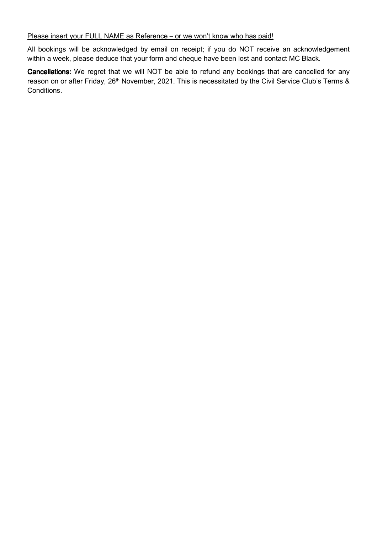#### Please insert your FULL NAME as Reference - or we won't know who has paid!

All bookings will be acknowledged by email on receipt; if you do NOT receive an acknowledgement within a week, please deduce that your form and cheque have been lost and contact MC Black.

Cancellations: We regret that we will NOT be able to refund any bookings that are cancelled for any reason on or after Friday, 26<sup>th</sup> November, 2021. This is necessitated by the Civil Service Club's Terms & Conditions.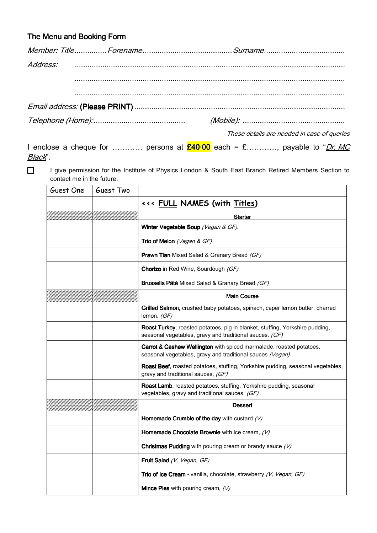### The Menu and Booking Form

|  | These details are needed in case of queries |
|--|---------------------------------------------|

I enclose a cheque for ………… persons at  $\frac{\mathcal{E}40\cdot 00}{\mathcal{E}40\cdot 00}$  each = £…………, payable to "*Dr. MC* Black".

I give permission for the Institute of Physics London & South East Branch Retired Members Section to contact me in the future.

| Guest One | Guest Two |                                                                                                                                         |
|-----------|-----------|-----------------------------------------------------------------------------------------------------------------------------------------|
|           |           | <<< FULL NAMES (with Titles)                                                                                                            |
|           |           | <b>Starter</b>                                                                                                                          |
|           |           | Winter Vegetable Soup (Vegan & GF).                                                                                                     |
|           |           | Trio of Melon (Vegan & GF)                                                                                                              |
|           |           | <b>Prawn Tian Mixed Salad &amp; Granary Bread (GF)</b>                                                                                  |
|           |           | Chorizo in Red Wine, Sourdough (GF)                                                                                                     |
|           |           | Brussells Pâté Mixed Salad & Granary Bread (GF)                                                                                         |
|           |           | <b>Main Course</b>                                                                                                                      |
|           |           | Grilled Salmon, crushed baby potatoes, spinach, caper lemon butter, charred<br>lemon. (GF)                                              |
|           |           | Roast Turkey, roasted potatoes, pig in blanket, stuffing, Yorkshire pudding,<br>seasonal vegetables, gravy and traditional sauces. (GF) |
|           |           | Carrot & Cashew Wellington with spiced marmalade, roasted potatoes,<br>seasonal vegetables, gravy and traditional sauces (Vegan)        |
|           |           | Roast Beef, roasted potatoes, stuffing, Yorkshire pudding, seasonal vegetables,<br>gravy and traditional sauces, (GF)                   |
|           |           | Roast Lamb, roasted potatoes, stuffing, Yorkshire pudding, seasonal<br>vegetables, gravy and traditional sauces. (GF)                   |
|           |           | <b>Dessert</b>                                                                                                                          |
|           |           | Homemade Crumble of the day with custard $(V)$                                                                                          |
|           |           | Homemade Chocolate Brownie with ice cream, $(V)$                                                                                        |
|           |           | Christmas Pudding with pouring cream or brandy sauce $(V)$                                                                              |
|           |           | Fruit Salad (V, Vegan, GF)                                                                                                              |
|           |           | Trio of Ice Cream - vanilla, chocolate, strawberry (V, Vegan, GF)                                                                       |
|           |           | <b>Mince Pies</b> with pouring cream, $(V)$                                                                                             |